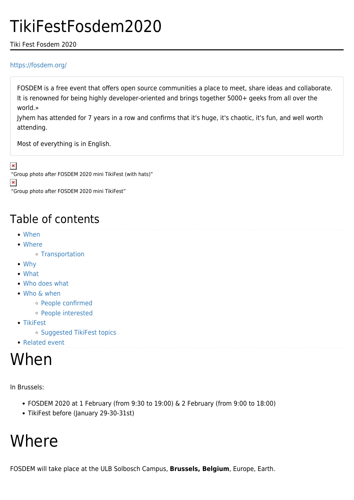## TikiFestFosdem2020

#### Tiki Fest Fosdem 2020

#### <https://fosdem.org/>

FOSDEM is a free event that offers open source communities a place to meet, share ideas and collaborate. It is renowned for being highly developer-oriented and brings together 5000+ geeks from all over the world.»

Jyhem has attended for 7 years in a row and confirms that it's huge, it's chaotic, it's fun, and well worth attending.

Most of everything is in English.

 $\pmb{\times}$ 

"Group photo after FOSDEM 2020 mini TikiFest (with hats)"

 $\pmb{\times}$ 

"Group photo after FOSDEM 2020 mini TikiFest"

### Table of contents

- [When](#page--1-0)
- [Where](#page--1-0)
	- [Transportation](#page--1-0)
- [Why](#page--1-0)
- [What](#page--1-0)
- [Who does what](#page--1-0)
- [Who & when](#page--1-0)
	- [People confirmed](#page--1-0)
	- [People interested](#page--1-0)
- [TikiFest](#page--1-0)
	- o [Suggested TikiFest topics](#page--1-0)
- [Related event](#page--1-0)

## When

In Brussels:

- FOSDEM 2020 at 1 February (from 9:30 to 19:00) & 2 February (from 9:00 to 18:00)
- TikiFest before (January 29-30-31st)

## **Where**

FOSDEM will take place at the ULB Solbosch Campus, **Brussels, Belgium**, Europe, Earth.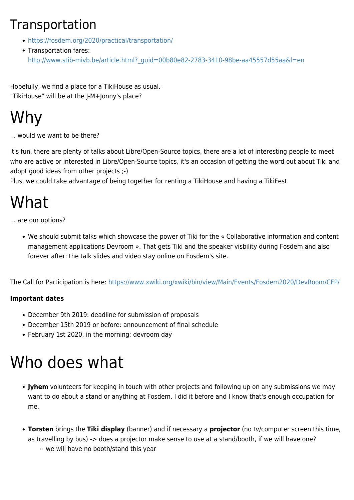### Transportation

- <https://fosdem.org/2020/practical/transportation/>
- Transportation fares: [http://www.stib-mivb.be/article.html?\\_guid=00b80e82-2783-3410-98be-aa45557d55aa&l=en](http://www.stib-mivb.be/article.html?_guid=00b80e82-2783-3410-98be-aa45557d55aa&l=en)

Hopefully, we find a place for a TikiHouse as usual. "TikiHouse" will be at the J-M+Jonny's place?

# Why

... would we want to be there?

It's fun, there are plenty of talks about Libre/Open-Source topics, there are a lot of interesting people to meet who are active or interested in Libre/Open-Source topics, it's an occasion of getting the word out about Tiki and adopt good ideas from other projects ;-)

Plus, we could take advantage of being together for renting a TikiHouse and having a TikiFest.

# What

... are our options?

We should submit talks which showcase the power of Tiki for the « Collaborative information and content management applications Devroom ». That gets Tiki and the speaker visbility during Fosdem and also forever after: the talk slides and video stay online on Fosdem's site.

The Call for Participation is here:<https://www.xwiki.org/xwiki/bin/view/Main/Events/Fosdem2020/DevRoom/CFP/>

#### **Important dates**

- December 9th 2019: deadline for submission of proposals
- December 15th 2019 or before: announcement of final schedule
- February 1st 2020, in the morning: devroom day

## Who does what

- **Jyhem** volunteers for keeping in touch with other projects and following up on any submissions we may want to do about a stand or anything at Fosdem. I did it before and I know that's enough occupation for me.
- **Torsten** brings the **Tiki display** (banner) and if necessary a **projector** (no tv/computer screen this time, as travelling by bus) -> does a projector make sense to use at a stand/booth, if we will have one?
	- we will have no booth/stand this year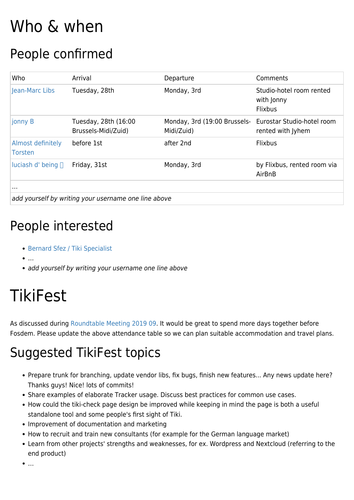# Who & when

### People confirmed

| Who                                                  | Arrival                                     | Departure                                                             | Comments                                                 |
|------------------------------------------------------|---------------------------------------------|-----------------------------------------------------------------------|----------------------------------------------------------|
| Jean-Marc Libs                                       | Tuesday, 28th                               | Monday, 3rd                                                           | Studio-hotel room rented<br>with Jonny<br><b>Flixbus</b> |
| jonny B                                              | Tuesday, 28th (16:00<br>Brussels-Midi/Zuid) | Monday, 3rd (19:00 Brussels- Eurostar Studio-hotel room<br>Midi/Zuid) | rented with Jyhem                                        |
| Almost definitely<br><b>Torsten</b>                  | before 1st                                  | after 2nd                                                             | Flixbus                                                  |
| luciash d' being $\Box$                              | Friday, 31st                                | Monday, 3rd                                                           | by Flixbus, rented room via<br>AirBnB                    |
| $\sim$ 1.1 $\pm$                                     |                                             |                                                                       |                                                          |
| add yourself by writing your username one line above |                                             |                                                                       |                                                          |

### People interested

- [Bernard Sfez / Tiki Specialist](https://tiki.org/user1974)
- $\bullet$  ...
- add yourself by writing your username one line above

# TikiFest

As discussed during [Roundtable Meeting 2019 09.](https://tiki.org/Roundtable-Meeting-2019-09) It would be great to spend more days together before Fosdem. Please update the above attendance table so we can plan suitable accommodation and travel plans.

## Suggested TikiFest topics

- Prepare trunk for branching, update vendor libs, fix bugs, finish new features... Any news update here? Thanks guys! Nice! lots of commits!
- Share examples of elaborate Tracker usage. Discuss best practices for common use cases.
- How could the tiki-check page design be improved while keeping in mind the page is both a useful standalone tool and some people's first sight of Tiki.
- Improvement of documentation and marketing
- How to recruit and train new consultants (for example for the German language market)
- Learn from other projects' strengths and weaknesses, for ex. Wordpress and Nextcloud (referring to the end product)
- …